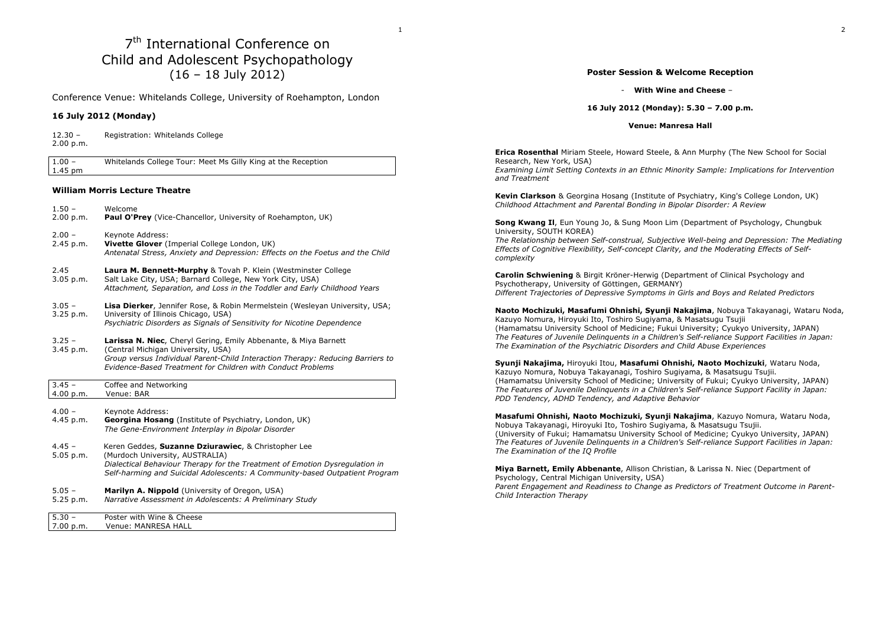# 7<sup>th</sup> International Conference on Child and Adolescent Psychopathology (16 – 18 July 2012)

1

Conference Venue: Whitelands College, University of Roehampton, London

### **16 July 2012 (Monday)**

12.30 – Registration: Whitelands College 2.00 p.m.

1.00 – Whitelands College Tour: Meet Ms Gilly King at the Reception 1.45 pm

### **William Morris Lecture Theatre**

1.50 – Welcome 2.00 p.m. **Paul O'Prey** (Vice-Chancellor, University of Roehampton, UK) 2.00 – Keynote Address: 2.45 p.m. **Vivette Glover** (Imperial College London, UK) *Antenatal Stress, Anxiety and Depression: Effects on the Foetus and the Child* 2.45 **Laura M. Bennett-Murphy** & Tovah P. Klein (Westminster College 3.05 p.m. Salt Lake City. USA: Barnard College Salt Lake City, USA; Barnard College, New York City, USA) *Attachment, Separation, and Loss in the Toddler and Early Childhood Years* 3.05 – **Lisa Dierker**, Jennifer Rose, & Robin Mermelstein (Wesleyan University, USA; 3.25 p.m. University of Illinois Chicago, USA)  *Psychiatric Disorders as Signals of Sensitivity for Nicotine Dependence* 3.25 – **Larissa N. Niec**, Cheryl Gering, Emily Abbenante, & Miya Barnett 3.45 p.m. (Central Michigan University, USA) *Group versus Individual Parent-Child Interaction Therapy: Reducing Barriers to Evidence-Based Treatment for Children with Conduct Problems* 3.45 – Coffee and Networking 4.00 p.m. Venue: BAR 4.00 - Keynote Address:<br>4.45 p.m. **Georgina Hosan**  4.45 p.m. **Georgina Hosang** (Institute of Psychiatry, London, UK) *The Gene-Environment Interplay in Bipolar Disorder* 4.45 – Keren Geddes, **Suzanne Dziurawiec**, & Christopher Lee 5.05 p.m. (Murdoch University, AUSTRALIA) *Dialectical Behaviour Therapy for the Treatment of Emotion Dysregulation in Self-harming and Suicidal Adolescents: A Community-based Outpatient Program* 5.05 – **Marilyn A. Nippold** (University of Oregon, USA) 5.25 p.m. *Narrative Assessment in Adolescents: A Preliminary Study*5.30 – Poster with Wine & Cheese 7.00 p.m. Venue: MANRESA HALL

### **Poster Session & Welcome Reception**

### **With Wine and Cheese** –

### **16 July 2012 (Monday): 5.30 – 7.00 p.m.**

### **Venue: Manresa Hall**

**Erica Rosenthal** Miriam Steele, Howard Steele, & Ann Murphy (The New School for Social Research, New York, USA)

 *Examining Limit Setting Contexts in an Ethnic Minority Sample: Implications for Intervention and Treatment*

**Kevin Clarkson** & Georgina Hosang (Institute of Psychiatry, King's College London, UK) *Childhood Attachment and Parental Bonding in Bipolar Disorder: A Review* 

**Song Kwang Il**, Eun Young Jo, & Sung Moon Lim (Department of Psychology, Chungbuk University, SOUTH KOREA)

 *The Relationship between Self-construal, Subjective Well-being and Depression: The Mediating Effects of Cognitive Flexibility, Self-concept Clarity, and the Moderating Effects of Selfcomplexity*

**Carolin Schwiening** & Birgit Kröner-Herwig (Department of Clinical Psychology and Psychotherapy, University of Göttingen, GERMANY) *Different Trajectories of Depressive Symptoms in Girls and Boys and Related Predictors* 

**Naoto Mochizuki, Masafumi Ohnishi, Syunji Nakajima**, Nobuya Takayanagi, Wataru Noda, Kazuyo Nomura, Hiroyuki Ito, Toshiro Sugiyama, & Masatsugu Tsujii (Hamamatsu University School of Medicine; Fukui University; Cyukyo University, JAPAN) *The Features of Juvenile Delinquents in a Children's Self-reliance Support Facilities in Japan: The Examination of the Psychiatric Disorders and Child Abuse Experiences* 

**Syunji Nakajima,** Hiroyuki Itou, **Masafumi Ohnishi, Naoto Mochizuki**, Wataru Noda, Kazuyo Nomura, Nobuya Takayanagi, Toshiro Sugiyama, & Masatsugu Tsujii. (Hamamatsu University School of Medicine; University of Fukui; Cyukyo University, JAPAN) *The Features of Juvenile Delinquents in a Children's Self-reliance Support Facility in Japan: PDD Tendency, ADHD Tendency, and Adaptive Behavior* 

**Masafumi Ohnishi, Naoto Mochizuki, Syunji Nakajima**, Kazuyo Nomura, Wataru Noda, Nobuya Takayanagi, Hiroyuki Ito, Toshiro Sugiyama, & Masatsugu Tsujii.

 (University of Fukui; Hamamatsu University School of Medicine; Cyukyo University, JAPAN) *The Features of Juvenile Delinquents in a Children's Self-reliance Support Facilities in Japan: The Examination of the IQ Profile* 

**Miya Barnett, Emily Abbenante**, Allison Christian, & Larissa N. Niec (Department of Psychology, Central Michigan University, USA)

 *Parent Engagement and Readiness to Change as Predictors of Treatment Outcome in Parent-Child Interaction Therapy*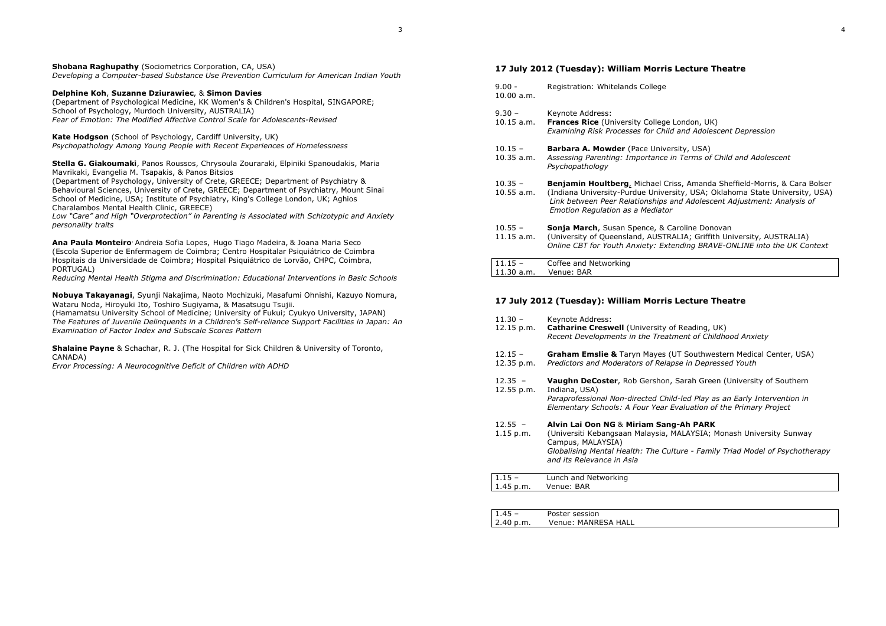**Shobana Raghupathy** (Sociometrics Corporation, CA, USA) *Developing a Computer-based Substance Use Prevention Curriculum for American Indian Youth* 

### **Delphine Koh**, **Suzanne Dziurawiec**, & **Simon Davies**

 (Department of Psychological Medicine, KK Women's & Children's Hospital, SINGAPORE; School of Psychology, Murdoch University, AUSTRALIA) *Fear of Emotion: The Modified Affective Control Scale for Adolescents-Revised* 

**Kate Hodgson** (School of Psychology, Cardiff University, UK) *Psychopathology Among Young People with Recent Experiences of Homelessness* 

**Stella G. Giakoumaki**, Panos Roussos, Chrysoula Zouraraki, Elpiniki Spanoudakis, Maria Mavrikaki, Evangelia M. Tsapakis, & Panos Bitsios

 (Department of Psychology, University of Crete, GREECE; Department of Psychiatry & Behavioural Sciences, University of Crete, GREECE; Department of Psychiatry, Mount Sinai School of Medicine, USA; Institute of Psychiatry, King's College London, UK; Aghios Charalambos Mental Health Clinic, GREECE)

 *Low "Care" and High "Overprotection" in Parenting is Associated with Schizotypic and Anxiety personality traits* 

**Ana Paula Monteiro**, Andreia Sofia Lopes, Hugo Tiago Madeira, & Joana Maria Seco (Escola Superior de Enfermagem de Coimbra; Centro Hospitalar Psiquiátrico de Coimbra Hospitais da Universidade de Coimbra; Hospital Psiquiátrico de Lorvão, CHPC, Coimbra, PORTUGAL)

*Reducing Mental Health Stigma and Discrimination: Educational Interventions in Basic Schools* 

**Nobuya Takayanagi**, Syunji Nakajima, Naoto Mochizuki, Masafumi Ohnishi, Kazuyo Nomura, Wataru Noda, Hiroyuki Ito, Toshiro Sugiyama, & Masatsugu Tsujii.

 (Hamamatsu University School of Medicine; University of Fukui; Cyukyo University, JAPAN) *The Features of Juvenile Delinquents in a Children's Self-reliance Support Facilities in Japan: An Examination of Factor Index and Subscale Scores Pattern* 

**Shalaine Payne** & Schachar, R. J. (The Hospital for Sick Children & University of Toronto, CANADA)

*Error Processing: A Neurocognitive Deficit of Children with ADHD*

#### **17 July 2012 (Tuesday): William Morris Lecture Theatre**

9.00 - Registration: Whitelands College 10.00 a.m. 9.30 – Keynote Address:<br>10.15 a.m. **Frances Rice** (Un 10.15 a.m. **Frances Rice** (University College London, UK) *Examining Risk Processes for Child and Adolescent Depression* 10.15 – **Barbara A. Mowder** (Pace University, USA) 10.35 a.m. *Assessing Parenting: Importance in Terms of Child and Adolescent Psychopathology* 10.35 – **Benjamin Houltberg**, Michael Criss, Amanda Sheffield-Morris, & Cara Bolser 10.55 a.m. (Indiana University-Purdue University, USA; Oklahoma State University, USA) *Link between Peer Relationships and Adolescent Adjustment: Analysis of Emotion Regulation as a Mediator* 10.55 – **Sonja March**, Susan Spence, & Caroline Donovan 11.15 a.m. (University of Queensland, AUSTRALIA; Griffith University, AUSTRALIA) *Online CBT for Youth Anxiety: Extending BRAVE-ONLINE into the UK Context* 11.15 – Coffee and Networking

### **17 July 2012 (Tuesday): William Morris Lecture Theatre**

11.30 a.m. Venue: BAR

1.45 p.m. Venue: BAR

| $11.30 -$<br>12.15 p.m.  | Keynote Address:<br><b>Catharine Creswell</b> (University of Reading, UK)<br>Recent Developments in the Treatment of Childhood Anxiety                                                                                                          |
|--------------------------|-------------------------------------------------------------------------------------------------------------------------------------------------------------------------------------------------------------------------------------------------|
| $12.15 -$<br>12.35 p.m.  | <b>Graham Emslie &amp;</b> Taryn Mayes (UT Southwestern Medical Center, USA)<br>Predictors and Moderators of Relapse in Depressed Youth                                                                                                         |
| $12.35 -$<br>12.55 p.m.  | <b>Vaughn DeCoster, Rob Gershon, Sarah Green (University of Southern</b><br>Indiana, USA)<br>Paraprofessional Non-directed Child-led Play as an Early Intervention in<br>Elementary Schools: A Four Year Evaluation of the Primary Project      |
| $12.55 -$<br>$1.15$ p.m. | Alvin Lai Oon NG & Miriam Sang-Ah PARK<br>(Universiti Kebangsaan Malaysia, MALAYSIA; Monash University Sunway<br>Campus, MALAYSIA)<br>Globalising Mental Health: The Culture - Family Triad Model of Psychotherapy<br>and its Relevance in Asia |
|                          | Lunch and Networking                                                                                                                                                                                                                            |

| $4.45 -$  | Poster session      |  |
|-----------|---------------------|--|
| 2.40 p.m. | Venue: MANRESA HALL |  |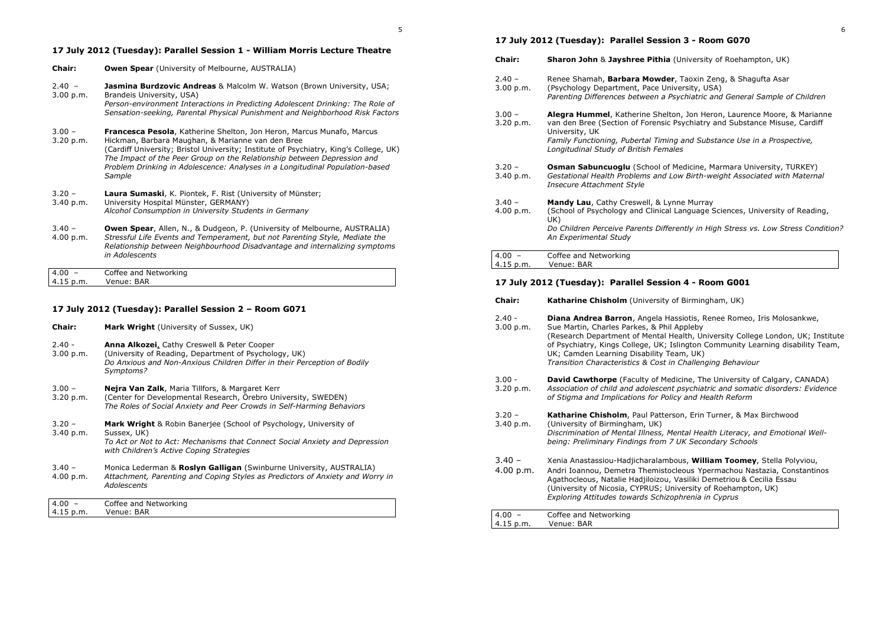# **17 July 2012 (Tuesday): Parallel Session 1 - William Morris Lecture Theatre**

| <b>Chair:</b>         | <b>Owen Spear</b> (University of Melbourne, AUSTRALIA)                                                                                                                                                                                                                                                                                                                                   |
|-----------------------|------------------------------------------------------------------------------------------------------------------------------------------------------------------------------------------------------------------------------------------------------------------------------------------------------------------------------------------------------------------------------------------|
| $2.40 -$<br>3.00 p.m. | <b>Jasmina Burdzovic Andreas</b> & Malcolm W. Watson (Brown University, USA;<br>Brandeis University, USA)<br>Person-environment Interactions in Predicting Adolescent Drinking: The Role of<br>Sensation-seeking, Parental Physical Punishment and Neighborhood Risk Factors                                                                                                             |
| $3.00 -$<br>3.20 p.m. | Francesca Pesola, Katherine Shelton, Jon Heron, Marcus Munafo, Marcus<br>Hickman, Barbara Maughan, & Marianne van den Bree<br>(Cardiff University; Bristol University; Institute of Psychiatry, King's College, UK)<br>The Impact of the Peer Group on the Relationship between Depression and<br>Problem Drinking in Adolescence: Analyses in a Longitudinal Population-based<br>Sample |
| $3.20 -$<br>3.40 p.m. | <b>Laura Sumaski</b> , K. Piontek, F. Rist (University of Münster;<br>University Hospital Münster, GERMANY)<br>Alcohol Consumption in University Students in Germany                                                                                                                                                                                                                     |
| $3.40 -$<br>4.00 p.m. | <b>Owen Spear, Allen, N., &amp; Dudgeon, P. (University of Melbourne, AUSTRALIA)</b><br>Stressful Life Events and Temperament, but not Parenting Style, Mediate the<br>Relationship between Neighbourhood Disadvantage and internalizing symptoms<br>in Adolescents                                                                                                                      |
| $4.00 -$<br>4.15 p.m. | Coffee and Networking<br>Venue: BAR                                                                                                                                                                                                                                                                                                                                                      |

# **17 July 2012 (Tuesday): Parallel Session 2 – Room G071**

| <b>Chair:</b>         | Mark Wright (University of Sussex, UK)                                                                                                                                                                             |  |
|-----------------------|--------------------------------------------------------------------------------------------------------------------------------------------------------------------------------------------------------------------|--|
| $2.40 -$<br>3.00 p.m. | <b>Anna Alkozei, Cathy Creswell &amp; Peter Cooper</b><br>(University of Reading, Department of Psychology, UK)<br>Do Anxious and Non-Anxious Children Differ in their Perception of Bodily<br>Symptoms?           |  |
| $3.00 -$<br>3.20 p.m. | <b>Nejra Van Zalk</b> , Maria Tillfors, & Margaret Kerr<br>(Center for Developmental Research, Orebro University, SWEDEN)<br>The Roles of Social Anxiety and Peer Crowds in Self-Harming Behaviors                 |  |
| $3.20 -$<br>3.40 p.m. | <b>Mark Wright</b> & Robin Banerjee (School of Psychology, University of<br>Sussex, UK)<br>To Act or Not to Act: Mechanisms that Connect Social Anxiety and Depression<br>with Children's Active Coping Strategies |  |
| $3.40 -$<br>4.00 p.m. | Monica Lederman & Roslyn Galligan (Swinburne University, AUSTRALIA)<br>Attachment, Parenting and Coping Styles as Predictors of Anxiety and Worry in<br>Adolescents                                                |  |
| $4.00 -$<br>4.15 p.m. | Coffee and Networking<br>Venue: BAR                                                                                                                                                                                |  |

# **17 July 2012 (Tuesday): Parallel Session 3 - Room G070**

| <b>Chair:</b>         | <b>Sharon John &amp; Jayshree Pithia (University of Roehampton, UK)</b>                                                                                                                                                                                                                             |
|-----------------------|-----------------------------------------------------------------------------------------------------------------------------------------------------------------------------------------------------------------------------------------------------------------------------------------------------|
| $2.40 -$<br>3.00 p.m. | Renee Shamah, <b>Barbara Mowder</b> , Taoxin Zeng, & Shagufta Asar<br>(Psychology Department, Pace University, USA)<br>Parenting Differences between a Psychiatric and General Sample of Children                                                                                                   |
| $3.00 -$<br>3.20 p.m. | <b>Alegra Hummel</b> , Katherine Shelton, Jon Heron, Laurence Moore, & Marianne<br>van den Bree (Section of Forensic Psychiatry and Substance Misuse, Cardiff<br>University, UK<br>Family Functioning, Pubertal Timing and Substance Use in a Prospective,<br>Longitudinal Study of British Females |
| $3.20 -$<br>3.40 p.m. | <b>Osman Sabuncuoglu</b> (School of Medicine, Marmara University, TURKEY)<br>Gestational Health Problems and Low Birth-weight Associated with Maternal<br>Insecure Attachment Style                                                                                                                 |
| $3.40 -$<br>4.00 p.m. | <b>Mandy Lau, Cathy Creswell, &amp; Lynne Murray</b><br>(School of Psychology and Clinical Language Sciences, University of Reading,<br>UK)<br>Do Children Perceive Parents Differently in High Stress vs. Low Stress Condition?<br>An Experimental Study                                           |
| $4.00 -$<br>4.15 p.m. | Coffee and Networking<br>Venue: BAR                                                                                                                                                                                                                                                                 |

# **17 July 2012 (Tuesday): Parallel Session 4 - Room G001**

| <b>Chair:</b>         | Katharine Chisholm (University of Birmingham, UK)                                                                                                                                                                                                                                                                                                                                                  |
|-----------------------|----------------------------------------------------------------------------------------------------------------------------------------------------------------------------------------------------------------------------------------------------------------------------------------------------------------------------------------------------------------------------------------------------|
| $2.40 -$<br>3.00 p.m. | Diana Andrea Barron, Angela Hassiotis, Renee Romeo, Iris Molosankwe,<br>Sue Martin, Charles Parkes, & Phil Appleby<br>(Research Department of Mental Health, University College London, UK; Institute<br>of Psychiatry, Kings College, UK; Islington Community Learning disability Team,<br>UK; Camden Learning Disability Team, UK)<br>Transition Characteristics & Cost in Challenging Behaviour |
| $3.00 -$<br>3.20 p.m. | <b>David Cawthorpe</b> (Faculty of Medicine, The University of Calgary, CANADA)<br>Association of child and adolescent psychiatric and somatic disorders: Evidence<br>of Stigma and Implications for Policy and Health Reform                                                                                                                                                                      |
| $3.20 -$<br>3.40 p.m. | Katharine Chisholm, Paul Patterson, Erin Turner, & Max Birchwood<br>(University of Birmingham, UK)<br>Discrimination of Mental Illness, Mental Health Literacy, and Emotional Well-<br>being: Preliminary Findings from 7 UK Secondary Schools                                                                                                                                                     |
| $3.40 -$<br>4.00 p.m. | Xenia Anastassiou-Hadjicharalambous, William Toomey, Stella Polyviou,<br>Andri Ioannou, Demetra Themistocleous Ypermachou Nastazia, Constantinos<br>Agathocleous, Natalie Hadjiloizou, Vasiliki Demetriou & Cecilia Essau<br>(University of Nicosia, CYPRUS; University of Roehampton, UK)<br>Exploring Attitudes towards Schizophrenia in Cyprus                                                  |
| $4.00 -$<br>4.15 p.m. | Coffee and Networking<br>Venue: BAR                                                                                                                                                                                                                                                                                                                                                                |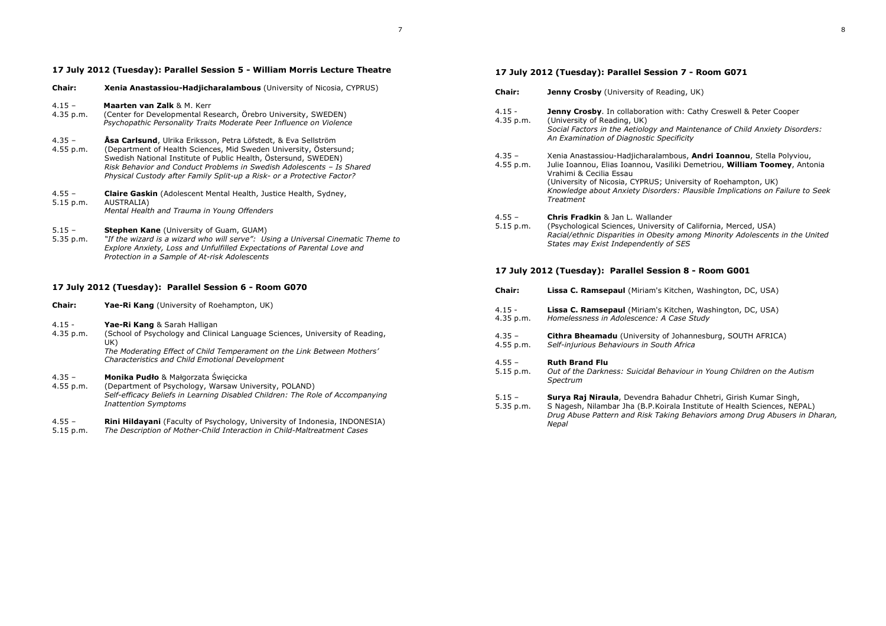# **17 July 2012 (Tuesday): Parallel Session 5 - William Morris Lecture Theatre**

| <b>Chair:</b>           | Xenia Anastassiou-Hadjicharalambous (University of Nicosia, CYPRUS)                                                                                                                                                                                                                                                                                               |
|-------------------------|-------------------------------------------------------------------------------------------------------------------------------------------------------------------------------------------------------------------------------------------------------------------------------------------------------------------------------------------------------------------|
| $4.15 -$<br>4.35 p.m.   | Maarten van Zalk & M. Kerr<br>(Center for Developmental Research, Örebro University, SWEDEN)<br>Psychopathic Personality Traits Moderate Peer Influence on Violence                                                                                                                                                                                               |
| $4.35 -$<br>$4.55$ p.m. | <b>Åsa Carlsund</b> , Ulrika Eriksson, Petra Löfstedt, & Eva Sellström<br>(Department of Health Sciences, Mid Sweden University, Östersund;<br>Swedish National Institute of Public Health, Östersund, SWEDEN)<br>Risk Behavior and Conduct Problems in Swedish Adolescents - Is Shared<br>Physical Custody after Family Split-up a Risk- or a Protective Factor? |
| $4.55 -$<br>5.15 p.m.   | <b>Claire Gaskin</b> (Adolescent Mental Health, Justice Health, Sydney,<br>AUSTRALIA)<br>Mental Health and Trauma in Young Offenders                                                                                                                                                                                                                              |
| $5.15 -$<br>5.35 p.m.   | <b>Stephen Kane</b> (University of Guam, GUAM)<br>"If the wizard is a wizard who will serve": Using a Universal Cinematic Theme to<br>Explore Anxiety, Loss and Unfulfilled Expectations of Parental Love and<br>Protection in a Sample of At-risk Adolescents                                                                                                    |

# **17 July 2012 (Tuesday): Parallel Session 6 - Room G070**

| <b>Chair:</b>           | <b>Yae-Ri Kang</b> (University of Roehampton, UK)                                                                                                                                                                                                        |
|-------------------------|----------------------------------------------------------------------------------------------------------------------------------------------------------------------------------------------------------------------------------------------------------|
| $4.15 -$<br>$4.35$ p.m. | Yae-Ri Kang & Sarah Halligan<br>(School of Psychology and Clinical Language Sciences, University of Reading,<br>UK)<br>The Moderating Effect of Child Temperament on the Link Between Mothers'<br><b>Characteristics and Child Emotional Development</b> |
| $4.35 -$<br>$4.55$ p.m. | Monika Pudło & Małgorzata Święcicka<br>(Department of Psychology, Warsaw University, POLAND)<br>Self-efficacy Beliefs in Learning Disabled Children: The Role of Accompanying<br><b>Inattention Symptoms</b>                                             |

| $4.55 -$                   | <b>Rini Hildayani</b> (Faculty of Psychology, University of Indonesia, INDONESIA) |
|----------------------------|-----------------------------------------------------------------------------------|
| <b>F 1 F</b> $\sim$ $\sim$ | The Decembers of Marbon Child Totane ation in Child Maltocatus and Canar          |

5.15 p.m. *The Description of Mother-Child Interaction in Child-Maltreatment Cases* 

# **17 July 2012 (Tuesday): Parallel Session 7 - Room G071**

| <b>Chair:</b>           | <b>Jenny Crosby</b> (University of Reading, UK)                                                                                                                                                                                                                                                                                            |
|-------------------------|--------------------------------------------------------------------------------------------------------------------------------------------------------------------------------------------------------------------------------------------------------------------------------------------------------------------------------------------|
| $4.15 -$<br>$4.35$ p.m. | <b>Jenny Crosby.</b> In collaboration with: Cathy Creswell & Peter Cooper<br>(University of Reading, UK)<br>Social Factors in the Aetiology and Maintenance of Child Anxiety Disorders:<br>An Examination of Diagnostic Specificity                                                                                                        |
| $4.35 -$<br>$4.55$ p.m. | Xenia Anastassiou-Hadjicharalambous, Andri Ioannou, Stella Polyviou,<br>Julie Ioannou, Elias Ioannou, Vasiliki Demetriou, William Toomey, Antonia<br>Vrahimi & Cecilia Essau<br>(University of Nicosia, CYPRUS; University of Roehampton, UK)<br>Knowledge about Anxiety Disorders: Plausible Implications on Failure to Seek<br>Treatment |
| $4.55 -$<br>$5.15$ p.m. | <b>Chris Fradkin &amp; Jan L. Wallander</b><br>(Psychological Sciences, University of California, Merced, USA)<br>Racial/ethnic Disparities in Obesity among Minority Adolescents in the United                                                                                                                                            |

# **17 July 2012 (Tuesday): Parallel Session 8 - Room G001**

*States may Exist Independently of SES* 

| <b>Chair:</b>           | <b>Lissa C. Ramsepaul</b> (Miriam's Kitchen, Washington, DC, USA)                                                                                                                                                                    |
|-------------------------|--------------------------------------------------------------------------------------------------------------------------------------------------------------------------------------------------------------------------------------|
| $4.15 -$<br>4.35 p.m.   | <b>Lissa C. Ramsepaul</b> (Miriam's Kitchen, Washington, DC, USA)<br>Homelessness in Adolescence: A Case Study                                                                                                                       |
| $4.35 -$<br>4.55 p.m.   | <b>Cithra Bheamadu</b> (University of Johannesburg, SOUTH AFRICA)<br>Self-injurious Behaviours in South Africa                                                                                                                       |
| $4.55 -$<br>$5.15$ p.m. | <b>Ruth Brand Flu</b><br>Out of the Darkness: Suicidal Behaviour in Young Children on the Autism<br>Spectrum                                                                                                                         |
| $5.15 -$<br>5.35 p.m.   | Surya Raj Niraula, Devendra Bahadur Chhetri, Girish Kumar Singh,<br>S Nagesh, Nilambar Jha (B.P. Koirala Institute of Health Sciences, NEPAL)<br>Drug Abuse Pattern and Risk Taking Behaviors among Drug Abusers in Dharan,<br>Nepal |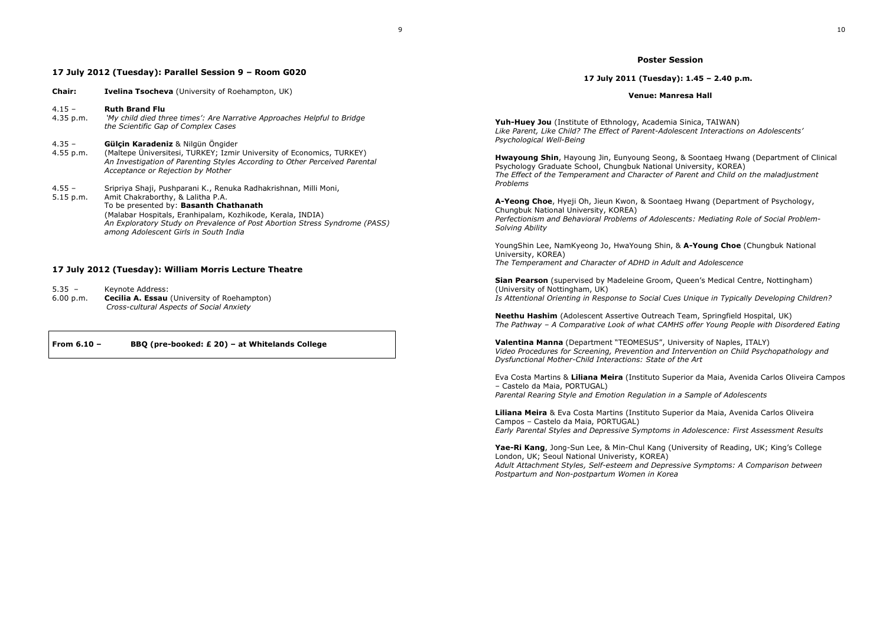# **17 July 2012 (Tuesday): Parallel Session 9 – Room G020**

| Chair:                  | <b>Ivelina Tsocheva</b> (University of Roehampton, UK)                                                                                                                                                                                                                                                                               |
|-------------------------|--------------------------------------------------------------------------------------------------------------------------------------------------------------------------------------------------------------------------------------------------------------------------------------------------------------------------------------|
| $4.15 -$<br>4.35 p.m.   | <b>Ruth Brand Flu</b><br>'My child died three times': Are Narrative Approaches Helpful to Bridge<br>the Scientific Gap of Complex Cases                                                                                                                                                                                              |
| $4.35 -$<br>$4.55$ p.m. | Gülçin Karadeniz & Nilgün Öngider<br>(Maltepe Üniversitesi, TURKEY; Izmir University of Economics, TURKEY)<br>An Investigation of Parenting Styles According to Other Perceived Parental<br>Acceptance or Rejection by Mother                                                                                                        |
| $4.55 -$<br>5.15 p.m.   | Sripriya Shaji, Pushparani K., Renuka Radhakrishnan, Milli Moni,<br>Amit Chakraborthy, & Lalitha P.A.<br>To be presented by: Basanth Chathanath<br>(Malabar Hospitals, Eranhipalam, Kozhikode, Kerala, INDIA)<br>An Exploratory Study on Prevalence of Post Abortion Stress Syndrome (PASS)<br>among Adolescent Girls in South India |

### **17 July 2012 (Tuesday): William Morris Lecture Theatre**

5.35 – Keynote Address: 6.00 p.m. **Cecilia A. Essau** (University of Roehampton) *Cross-cultural Aspects of Social Anxiety*

**From 6.10 – BBQ (pre-booked: £ 20) – at Whitelands College** 

#### **Poster Session**

**17 July 2011 (Tuesday): 1.45 – 2.40 p.m.** 

#### **Venue: Manresa Hall**

**Yuh-Huey Jou** (Institute of Ethnology, Academia Sinica, TAIWAN) *Like Parent, Like Child? The Effect of Parent-Adolescent Interactions on Adolescents' Psychological Well-Being* 

**Hwayoung Shin**, Hayoung Jin, Eunyoung Seong, & Soontaeg Hwang (Department of Clinical Psychology Graduate School, Chungbuk National University, KOREA) *The Effect of the Temperament and Character of Parent and Child on the maladjustment Problems* 

**A-Yeong Choe**, Hyeji Oh, Jieun Kwon, & Soontaeg Hwang (Department of Psychology, Chungbuk National University, KOREA) *Perfectionism and Behavioral Problems of Adolescents: Mediating Role of Social Problem-Solving Ability* 

YoungShin Lee, NamKyeong Jo, HwaYoung Shin, & **A-Young Choe** (Chungbuk National University, KOREA) *The Temperament and Character of ADHD in Adult and Adolescence* 

**Sian Pearson** (supervised by Madeleine Groom, Queen's Medical Centre, Nottingham) (University of Nottingham, UK) *Is Attentional Orienting in Response to Social Cues Unique in Typically Developing Children?* 

**Neethu Hashim** (Adolescent Assertive Outreach Team, Springfield Hospital, UK) *The Pathway – A Comparative Look of what CAMHS offer Young People with Disordered Eating* 

**Valentina Manna** (Department "TEOMESUS", University of Naples, ITALY) *Video Procedures for Screening, Prevention and Intervention on Child Psychopathology and Dysfunctional Mother-Child Interactions: State of the Art* 

Eva Costa Martins & **Liliana Meira** (Instituto Superior da Maia, Avenida Carlos Oliveira Campos – Castelo da Maia, PORTUGAL)

*Parental Rearing Style and Emotion Regulation in a Sample of Adolescents* 

**Liliana Meira** & Eva Costa Martins (Instituto Superior da Maia, Avenida Carlos Oliveira Campos – Castelo da Maia, PORTUGAL) *Early Parental Styles and Depressive Symptoms in Adolescence: First Assessment Results* 

**Yae-Ri Kang**, Jong-Sun Lee, & Min-Chul Kang (University of Reading, UK; King's College London, UK; Seoul National Univeristy, KOREA) *Adult Attachment Styles, Self-esteem and Depressive Symptoms: A Comparison between Postpartum and Non-postpartum Women in Korea*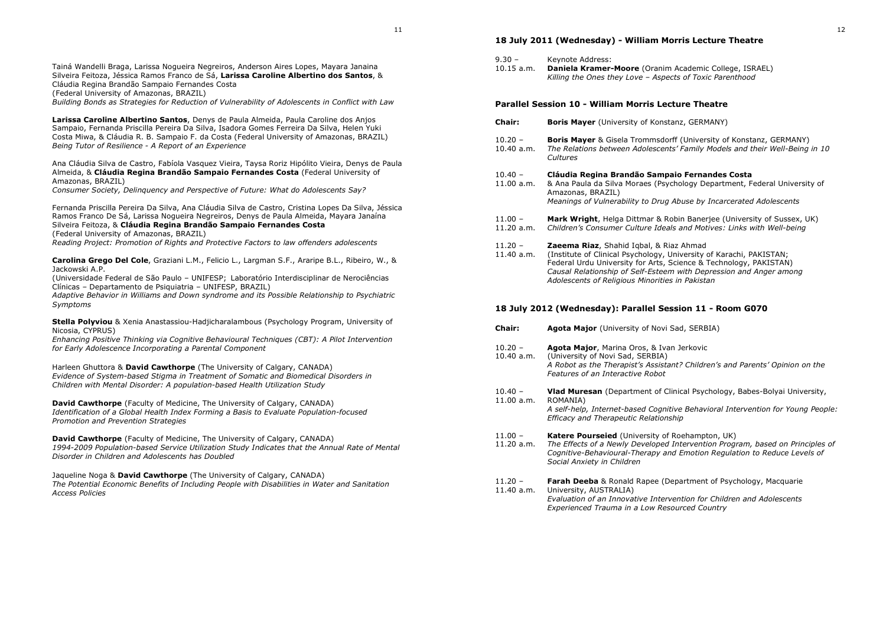Tainá Wandelli Braga, Larissa Nogueira Negreiros, Anderson Aires Lopes, Mayara Janaina Silveira Feitoza, Jéssica Ramos Franco de Sá, **Larissa Caroline Albertino dos Santos**, & Cláudia Regina Brandão Sampaio Fernandes Costa

(Federal University of Amazonas, BRAZIL)

*Building Bonds as Strategies for Reduction of Vulnerability of Adolescents in Conflict with Law* 

**Larissa Caroline Albertino Santos**, Denys de Paula Almeida, Paula Caroline dos Anjos Sampaio, Fernanda Priscilla Pereira Da Silva, Isadora Gomes Ferreira Da Silva, Helen Yuki Costa Miwa, & Cláudia R. B. Sampaio F. da Costa (Federal University of Amazonas, BRAZIL) *Being Tutor of Resilience - A Report of an Experience* 

Ana Cláudia Silva de Castro, Fabíola Vasquez Vieira, Taysa Roriz Hipólito Vieira, Denys de Paula Almeida, & **Cláudia Regina Brandão Sampaio Fernandes Costa** (Federal University of Amazonas, BRAZIL)

*Consumer Society, Delinquency and Perspective of Future: What do Adolescents Say?* 

Fernanda Priscilla Pereira Da Silva, Ana Cláudia Silva de Castro, Cristina Lopes Da Silva, Jéssica Ramos Franco De Sá, Larissa Nogueira Negreiros, Denys de Paula Almeida, Mayara Janaína Silveira Feitoza, & **Cláudia Regina Brandão Sampaio Fernandes Costa**(Federal University of Amazonas, BRAZIL) *Reading Project: Promotion of Rights and Protective Factors to law offenders adolescents* 

**Carolina Grego Del Cole**, Graziani L.M., Felicio L., Largman S.F., Araripe B.L., Ribeiro, W., & Jackowski A.P.

 (Universidade Federal de São Paulo – UNIFESP; Laboratório Interdisciplinar de Nerociências Clínicas – Departamento de Psiquiatria – UNIFESP, BRAZIL)

 *Adaptive Behavior in Williams and Down syndrome and its Possible Relationship to Psychiatric Symptoms* 

**Stella Polyviou** & Xenia Anastassiou-Hadjicharalambous (Psychology Program, University of Nicosia, CYPRUS)

 *Enhancing Positive Thinking via Cognitive Behavioural Techniques (CBT): A Pilot Intervention for Early Adolescence Incorporating a Parental Component* 

Harleen Ghuttora & **David Cawthorpe** (The University of Calgary, CANADA) *Evidence of System-based Stigma in Treatment of Somatic and Biomedical Disorders in Children with Mental Disorder: A population-based Health Utilization Study* 

**David Cawthorpe** (Faculty of Medicine, The University of Calgary, CANADA) *Identification of a Global Health Index Forming a Basis to Evaluate Population-focused Promotion and Prevention Strategies* 

**David Cawthorpe** (Faculty of Medicine, The University of Calgary, CANADA) *1994-2009 Population-based Service Utilization Study Indicates that the Annual Rate of Mental Disorder in Children and Adolescents has Doubled* 

Jaqueline Noga & **David Cawthorpe** (The University of Calgary, CANADA) *The Potential Economic Benefits of Including People with Disabilities in Water and Sanitation Access Policies*

### **18 July 2011 (Wednesday) - William Morris Lecture Theatre**

- 9.30 Keynote Address:
- 10.15 a.m. **Daniela Kramer-Moore** (Oranim Academic College, ISRAEL) *Killing the Ones they Love – Aspects of Toxic Parenthood*

### **Parallel Session 10 - William Morris Lecture Theatre**

- **Chair:Boris Mayer** (University of Konstanz, GERMANY)
- 10.20 **Boris Mayer** & Gisela Trommsdorff (University of Konstanz, GERMANY)
- 10.40 a.m. *The Relations between Adolescents' Family Models and their Well-Being in 10 Cultures*

### 10.40 – **Cláudia Regina Brandão Sampaio Fernandes Costa**

- 11.00 a.m. & Ana Paula da Silva Moraes (Psychology Department, Federal University of Amazonas, BRAZIL) *Meanings of Vulnerability to Drug Abuse by Incarcerated Adolescents*
- 11.00 **Mark Wright**, Helga Dittmar & Robin Banerjee (University of Sussex, UK)<br>11.20 a.m. Children's Consumer Culture Ideals and Motives: Links with Well-being
- 11.20 a.m. *Children's Consumer Culture Ideals and Motives: Links with Well-being*

11.20 – **Zaeema Riaz**, Shahid Iqbal, & Riaz Ahmad

 11.40 a.m. (Institute of Clinical Psychology, University of Karachi, PAKISTAN; Federal Urdu University for Arts, Science & Technology, PAKISTAN) *Causal Relationship of Self-Esteem with Depression and Anger among Adolescents of Religious Minorities in Pakistan* 

#### **18 July 2012 (Wednesday): Parallel Session 11 - Room G070**

**Chair: Agota Major** (University of Novi Sad, SERBIA) 10.20 – **Agota Major**, Marina Oros, & Ivan Jerkovic (University of Novi Sad, SERBIA) *A Robot as the Therapist's Assistant? Children's and Parents' Opinion on the Features of an Interactive Robot* 10.40 – **Vlad Muresan** (Department of Clinical Psychology, Babes-Bolyai University, 11.00 a.m. ROMANIA) *A self-help, Internet-based Cognitive Behavioral Intervention for Young People: Efficacy and Therapeutic Relationship* 11.00 – **Katere Pourseied** (University of Roehampton, UK) 11.20 a.m. *The Effects of a Newly Developed Intervention Program, based on Principles of Cognitive-Behavioural-Therapy and Emotion Regulation to Reduce Levels of Social Anxiety in Children*11.20 – **Farah Deeba** & Ronald Rapee (Department of Psychology, Macquarie 11.40 a.m. University, AUSTRALIA) *Evaluation of an Innovative Intervention for Children and Adolescents Experienced Trauma in a Low Resourced Country*